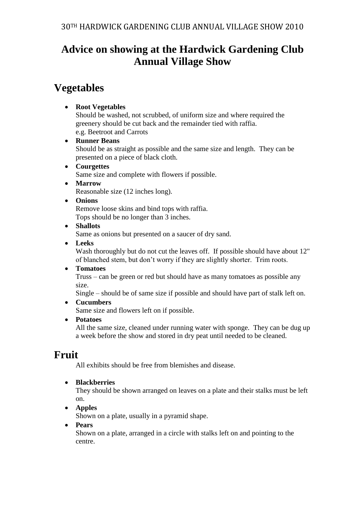## **Advice on showing at the Hardwick Gardening Club Annual Village Show**

## **Vegetables**

### **Root Vegetables**

Should be washed, not scrubbed, of uniform size and where required the greenery should be cut back and the remainder tied with raffia. e.g. Beetroot and Carrots

### **Runner Beans**

Should be as straight as possible and the same size and length. They can be presented on a piece of black cloth.

**Courgettes**

Same size and complete with flowers if possible.

**Marrow**

Reasonable size (12 inches long).

**Onions**

Remove loose skins and bind tops with raffia. Tops should be no longer than 3 inches.

### **Shallots**

Same as onions but presented on a saucer of dry sand.

**Leeks**

Wash thoroughly but do not cut the leaves off. If possible should have about 12" of blanched stem, but don't worry if they are slightly shorter. Trim roots.

**Tomatoes**

Truss – can be green or red but should have as many tomatoes as possible any size.

Single – should be of same size if possible and should have part of stalk left on.

**Cucumbers**

Same size and flowers left on if possible.

**Potatoes**

All the same size, cleaned under running water with sponge. They can be dug up a week before the show and stored in dry peat until needed to be cleaned.

## **Fruit**

All exhibits should be free from blemishes and disease.

**Blackberries**

They should be shown arranged on leaves on a plate and their stalks must be left on.

**Apples**

Shown on a plate, usually in a pyramid shape.

**Pears**

Shown on a plate, arranged in a circle with stalks left on and pointing to the centre.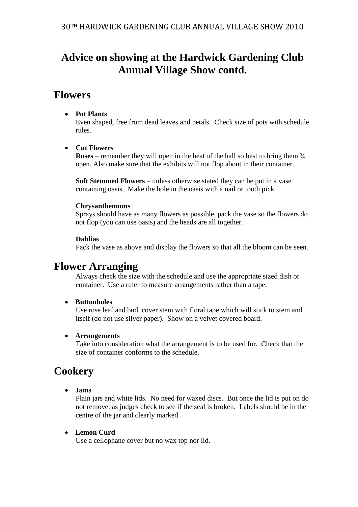## **Advice on showing at the Hardwick Gardening Club Annual Village Show contd.**

## **Flowers**

### **Pot Plants**

Even shaped, free from dead leaves and petals. Check size of pots with schedule rules.

### **Cut Flowers**

**Roses** – remember they will open in the heat of the hall so best to bring them  $\frac{3}{4}$ open. Also make sure that the exhibits will not flop about in their container.

**Soft Stemmed Flowers** – unless otherwise stated they can be put in a vase containing oasis. Make the hole in the oasis with a nail or tooth pick.

#### **Chrysanthemums**

Sprays should have as many flowers as possible, pack the vase so the flowers do not flop (you can use oasis) and the heads are all together.

### **Dahlias**

Pack the vase as above and display the flowers so that all the bloom can be seen.

## **Flower Arranging**

Always check the size with the schedule and use the appropriate sized dish or container. Use a ruler to measure arrangements rather than a tape.

### **Buttonholes**

Use rose leaf and bud, cover stem with floral tape which will stick to stem and itself (do not use silver paper). Show on a velvet covered board.

### **Arrangements**

Take into consideration what the arrangement is to be used for. Check that the size of container conforms to the schedule.

## **Cookery**

**Jams**

Plain jars and white lids. No need for waxed discs. But once the lid is put on do not remove, as judges check to see if the seal is broken. Labels should be in the centre of the jar and clearly marked.

### **Lemon Curd**

Use a cellophane cover but no wax top nor lid.